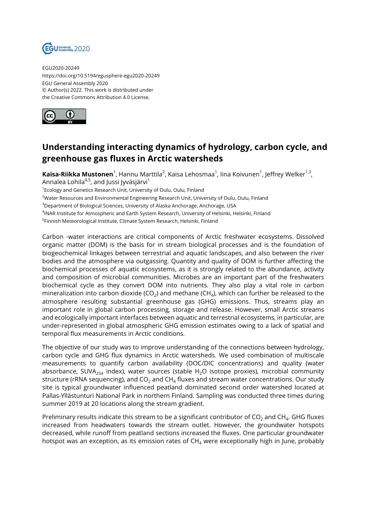

EGU2020-20249 https://doi.org/10.5194/egusphere-egu2020-20249 EGU General Assembly 2020 © Author(s) 2022. This work is distributed under the Creative Commons Attribution 4.0 License.



## **Understanding interacting dynamics of hydrology, carbon cycle, and greenhouse gas fluxes in Arctic watersheds**

**Kaisa-Riikka Mustonen**<sup>1</sup>, Hannu Marttila<sup>2</sup>, Kaisa Lehosmaa<sup>1</sup>, lina Koivunen<sup>1</sup>, Jeffrey Welker<sup>1,3</sup>, Annalea Lohila<sup>4,5</sup>, and Jussi Jyväsjärvi<sup>1</sup>

<sup>1</sup> Ecology and Genetics Research Unit, University of Oulu, Oulu, Finland

<sup>2</sup>Water Resources and Environmental Engineering Research Unit, University of Oulu, Oulu, Finland

<sup>3</sup>Department of Biological Sciences, University of Alaska Anchorage, Anchorage, USA

4 INAR Institute for Atmospheric and Earth System Research, University of Helsinki, Helsinki, Finland

<sup>5</sup>Finnish Meteorological Institute, Climate System Research, Helsinki, Finland

Carbon -water interactions are critical components of Arctic freshwater ecosystems. Dissolved organic matter (DOM) is the basis for in stream biological processes and is the foundation of biogeochemical linkages between terrestrial and aquatic landscapes, and also between the river bodies and the atmosphere via outgassing. Quantity and quality of DOM is further affecting the biochemical processes of aquatic ecosystems, as it is strongly related to the abundance, activity and composition of microbial communities. Microbes are an important part of the freshwaters biochemical cycle as they convert DOM into nutrients. They also play a vital role in carbon mineralization into carbon dioxide (CO $_2$ ) and methane (CH $_4$ ), which can further be released to the atmosphere resulting substantial greenhouse gas (GHG) emissions. Thus, streams play an important role in global carbon processing, storage and release. However, small Arctic streams and ecologically important interfaces between aquatic and terrestrial ecosystems, in particular, are under-represented in global atmospheric GHG emission estimates owing to a lack of spatial and temporal flux measurements in Arctic conditions.

The objective of our study was to improve understanding of the connections between hydrology, carbon cycle and GHG flux dynamics in Arctic watersheds. We used combination of multiscale measurements to quantify carbon availability (DOC/DIC concentrations) and quality (water absorbance, SUVA<sub>254</sub> index), water sources (stable H<sub>2</sub>O isotope proxies), microbial community structure (rRNA sequencing), and CO $_2$  and CH $_4$  fluxes and stream water concentrations. Our study site is typical groundwater influenced peatland dominated second order watershed located at Pallas-Yllästunturi National Park in northern Finland. Sampling was conducted three times during summer 2019 at 20 locations along the stream gradient.

Preliminary results indicate this stream to be a significant contributor of CO $_2$  and CH $_4$ . GHG fluxes increased from headwaters towards the stream outlet. However, the groundwater hotspots decreased, while runoff from peatland sections increased the fluxes. One particular groundwater hotspot was an exception, as its emission rates of  $CH<sub>4</sub>$  were exceptionally high in June, probably